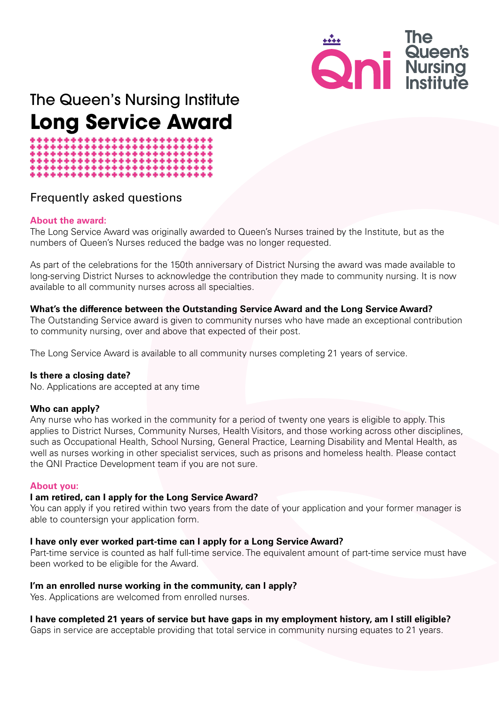

## The Queen's Nursing Institute **Long Service Award**

# \*\*\*\*\*\*\*\*\*\*\*\*\*\*\*\*\*\*\*

### Frequently asked questions

#### **About the award:**

The Long Service Award was originally awarded to Queen's Nurses trained by the Institute, but as the numbers of Queen's Nurses reduced the badge was no longer requested.

As part of the celebrations for the 150th anniversary of District Nursing the award was made available to long-serving District Nurses to acknowledge the contribution they made to community nursing. It is now available to all community nurses across all specialties.

#### **What's the difference between the Outstanding Service Award and the Long Service Award?**

The Outstanding Service award is given to community nurses who have made an exceptional contribution to community nursing, over and above that expected of their post.

The Long Service Award is available to all community nurses completing 21 years of service.

#### **Is there a closing date?**

No. Applications are accepted at any time

#### **Who can apply?**

Any nurse who has worked in the community for a period of twenty one years is eligible to apply. This applies to District Nurses, Community Nurses, Health Visitors, and those working across other disciplines, such as Occupational Health, School Nursing, General Practice, Learning Disability and Mental Health, as well as nurses working in other specialist services, such as prisons and homeless health. Please contact the QNI Practice Development team if you are not sure.

#### **About you:**

#### **I am retired, can I apply for the Long Service Award?**

You can apply if you retired within two years from the date of your application and your former manager is able to countersign your application form.

#### **I have only ever worked part-time can I apply for a Long Service Award?**

Part-time service is counted as half full-time service. The equivalent amount of part-time service must have been worked to be eligible for the Award.

#### **I'm an enrolled nurse working in the community, can I apply?**

Yes. Applications are welcomed from enrolled nurses.

#### **I have completed 21 years of service but have gaps in my employment history, am I still eligible?**

Gaps in service are acceptable providing that total service in community nursing equates to 21 years.